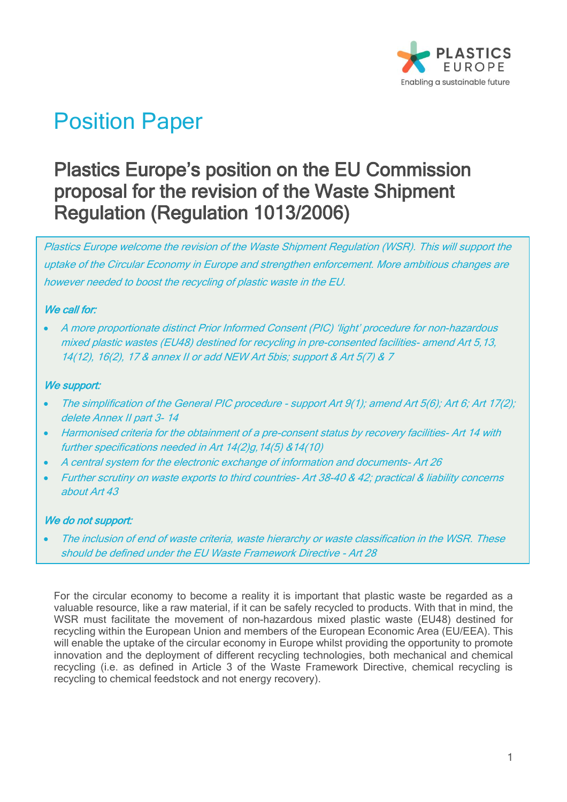

# Position Paper

# Plastics Europe's position on the EU Commission proposal for the revision of the Waste Shipment Regulation (Regulation 1013/2006)

Plastics Europe welcome the revision of the Waste Shipment Regulation (WSR). This will support the uptake of the Circular Economy in Europe and strengthen enforcement. More ambitious changes are however needed to boost the recycling of plastic waste in the EU.

## We call for:

• A more proportionate distinct Prior Informed Consent (PIC) 'light' procedure for non-hazardous mixed plastic wastes (EU48) destined for recycling in pre-consented facilities- amend Art 5,13, 14(12), 16(2), 17 & annex II or add NEW Art 5bis; support & Art 5(7) & 7

#### We support:

- The simplification of the General PIC procedure support Art 9(1); amend Art 5(6); Art 6; Art 17(2); delete Annex II part 3- 14
- Harmonised criteria for the obtainment of a pre-consent status by recovery facilities- Art 14 with further specifications needed in Art 14(2)g,14(5) &14(10)
- A central system for the electronic exchange of information and documents- Art 26
- Further scrutiny on waste exports to third countries- Art 38-40 & 42; practical & liability concerns about Art 43

## We do not support:

The inclusion of end of waste criteria, waste hierarchy or waste classification in the WSR. These should be defined under the EU Waste Framework Directive - Art 28

For the circular economy to become a reality it is important that plastic waste be regarded as a valuable resource, like a raw material, if it can be safely recycled to products. With that in mind, the WSR must facilitate the movement of non-hazardous mixed plastic waste (EU48) destined for recycling within the European Union and members of the European Economic Area (EU/EEA). This will enable the uptake of the circular economy in Europe whilst providing the opportunity to promote innovation and the deployment of different recycling technologies, both mechanical and chemical recycling (i.e. as defined in Article 3 of the Waste Framework Directive, chemical recycling is recycling to chemical feedstock and not energy recovery).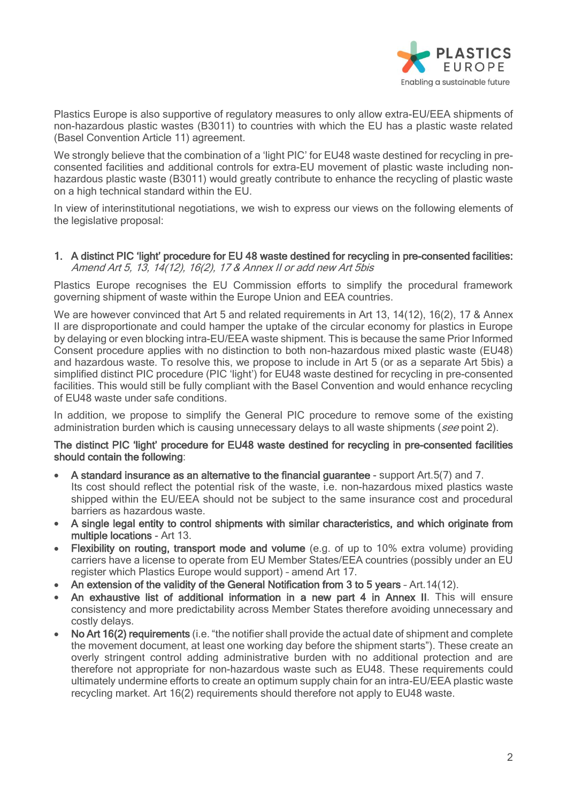

Plastics Europe is also supportive of regulatory measures to only allow extra-EU/EEA shipments of non-hazardous plastic wastes (B3011) to countries with which the EU has a plastic waste related (Basel Convention Article 11) agreement.

We strongly believe that the combination of a 'light PIC' for EU48 waste destined for recycling in preconsented facilities and additional controls for extra-EU movement of plastic waste including nonhazardous plastic waste (B3011) would greatly contribute to enhance the recycling of plastic waste on a high technical standard within the EU.

In view of interinstitutional negotiations, we wish to express our views on the following elements of the legislative proposal:

#### 1. A distinct PIC 'light' procedure for EU 48 waste destined for recycling in pre-consented facilities: Amend Art 5, 13, 14(12), 16(2), 17 & Annex II or add new Art 5bis

Plastics Europe recognises the EU Commission efforts to simplify the procedural framework governing shipment of waste within the Europe Union and EEA countries.

We are however convinced that Art 5 and related requirements in Art 13, 14(12), 16(2), 17 & Annex II are disproportionate and could hamper the uptake of the circular economy for plastics in Europe by delaying or even blocking intra-EU/EEA waste shipment. This is because the same Prior Informed Consent procedure applies with no distinction to both non-hazardous mixed plastic waste (EU48) and hazardous waste. To resolve this, we propose to include in Art 5 (or as a separate Art 5bis) a simplified distinct PIC procedure (PIC 'light') for EU48 waste destined for recycling in pre-consented facilities. This would still be fully compliant with the Basel Convention and would enhance recycling of EU48 waste under safe conditions.

In addition, we propose to simplify the General PIC procedure to remove some of the existing administration burden which is causing unnecessary delays to all waste shipments (see point 2).

#### The distinct PIC 'light' procedure for EU48 waste destined for recycling in pre-consented facilities should contain the following:

- A standard insurance as an alternative to the financial guarantee support Art.5(7) and 7. Its cost should reflect the potential risk of the waste, i.e. non-hazardous mixed plastics waste shipped within the EU/EEA should not be subject to the same insurance cost and procedural barriers as hazardous waste.
- A single legal entity to control shipments with similar characteristics, and which originate from multiple locations - Art 13.
- Flexibility on routing, transport mode and volume (e.g. of up to 10% extra volume) providing carriers have a license to operate from EU Member States/EEA countries (possibly under an EU register which Plastics Europe would support) – amend Art 17.
- An extension of the validity of the General Notification from 3 to 5 years Art. 14(12).
- An exhaustive list of additional information in a new part 4 in Annex II. This will ensure consistency and more predictability across Member States therefore avoiding unnecessary and costly delays.
- No Art 16(2) requirements (i.e. "the notifier shall provide the actual date of shipment and complete the movement document, at least one working day before the shipment starts"). These create an overly stringent control adding administrative burden with no additional protection and are therefore not appropriate for non-hazardous waste such as EU48. These requirements could ultimately undermine efforts to create an optimum supply chain for an intra-EU/EEA plastic waste recycling market. Art 16(2) requirements should therefore not apply to EU48 waste.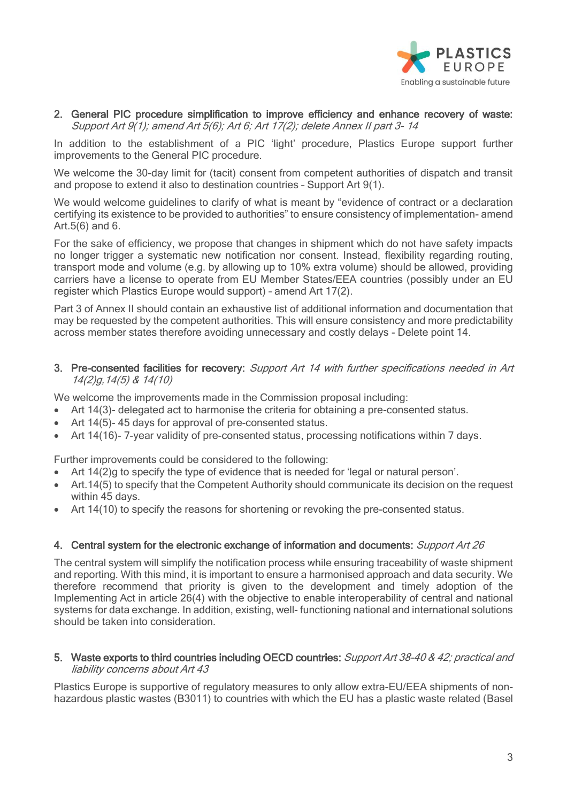

#### 2. General PIC procedure simplification to improve efficiency and enhance recovery of waste: Support Art 9(1); amend Art 5(6); Art 6; Art 17(2); delete Annex II part 3- 14

In addition to the establishment of a PIC 'light' procedure, Plastics Europe support further improvements to the General PIC procedure.

We welcome the 30-day limit for (tacit) consent from competent authorities of dispatch and transit and propose to extend it also to destination countries – Support Art 9(1).

We would welcome guidelines to clarify of what is meant by "evidence of contract or a declaration certifying its existence to be provided to authorities" to ensure consistency of implementation- amend Art.5(6) and 6.

For the sake of efficiency, we propose that changes in shipment which do not have safety impacts no longer trigger a systematic new notification nor consent. Instead, flexibility regarding routing, transport mode and volume (e.g. by allowing up to 10% extra volume) should be allowed, providing carriers have a license to operate from EU Member States/EEA countries (possibly under an EU register which Plastics Europe would support) – amend Art 17(2).

Part 3 of Annex II should contain an exhaustive list of additional information and documentation that may be requested by the competent authorities. This will ensure consistency and more predictability across member states therefore avoiding unnecessary and costly delays - Delete point 14.

3. Pre-consented facilities for recovery: Support Art 14 with further specifications needed in Art 14(2)g,14(5) & 14(10)

We welcome the improvements made in the Commission proposal including:

- Art 14(3)- delegated act to harmonise the criteria for obtaining a pre-consented status.
- Art 14(5)-45 days for approval of pre-consented status.
- Art 14(16)- 7-year validity of pre-consented status, processing notifications within 7 days.

Further improvements could be considered to the following:

- Art 14(2)g to specify the type of evidence that is needed for 'legal or natural person'.
- Art. 14(5) to specify that the Competent Authority should communicate its decision on the request within 45 days.
- Art 14(10) to specify the reasons for shortening or revoking the pre-consented status.

#### 4. Central system for the electronic exchange of information and documents: Support Art 26

The central system will simplify the notification process while ensuring traceability of waste shipment and reporting. With this mind, it is important to ensure a harmonised approach and data security. We therefore recommend that priority is given to the development and timely adoption of the Implementing Act in article 26(4) with the objective to enable interoperability of central and national systems for data exchange. In addition, existing, well- functioning national and international solutions should be taken into consideration.

#### 5. Waste exports to third countries including OECD countries: Support Art 38-40 & 42; practical and liability concerns about Art 43

Plastics Europe is supportive of regulatory measures to only allow extra-EU/EEA shipments of nonhazardous plastic wastes (B3011) to countries with which the EU has a plastic waste related (Basel